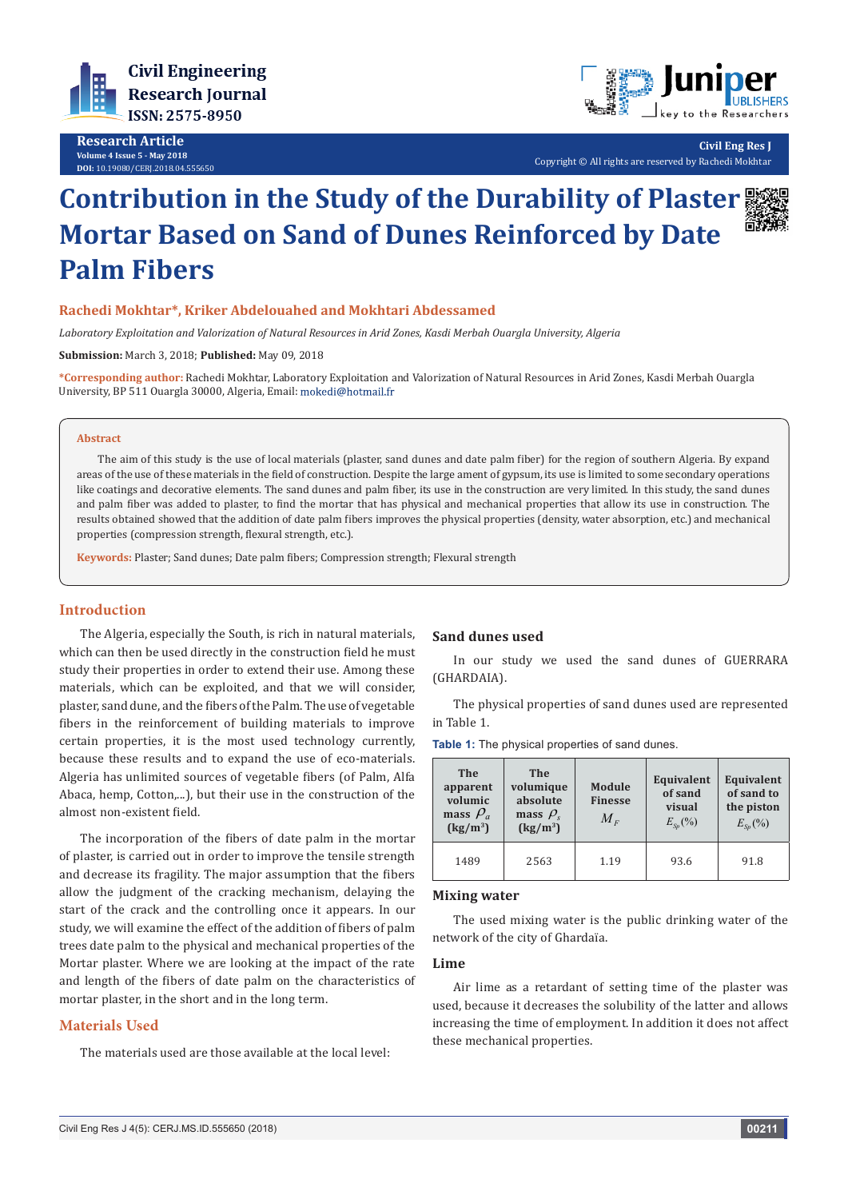

**Research Article Volume 4 Issue 5 - May 2018 DOI:** [10.19080/CERJ.2018.04.555650](http://dx.doi.org/10.19080/CERJ.2018.04.555650)



**Civil Eng Res J** Copyright © All rights are reserved by Rachedi Mokhtar

# **Contribution in the Study of the Durability of Plaster Mortar Based on Sand of Dunes Reinforced by Date Palm Fibers**

# **Rachedi Mokhtar\*, Kriker Abdelouahed and Mokhtari Abdessamed**

*Laboratory Exploitation and Valorization of Natural Resources in Arid Zones, Kasdi Merbah Ouargla University, Algeria*

**Submission:** March 3, 2018; **Published:** May 09, 2018

**\*Corresponding author:** Rachedi Mokhtar, Laboratory Exploitation and Valorization of Natural Resources in Arid Zones, Kasdi Merbah Ouargla University, BP 511 Ouargla 30000, Algeria, Email:

#### **Abstract**

The aim of this study is the use of local materials (plaster, sand dunes and date palm fiber) for the region of southern Algeria. By expand areas of the use of these materials in the field of construction. Despite the large ament of gypsum, its use is limited to some secondary operations like coatings and decorative elements. The sand dunes and palm fiber, its use in the construction are very limited. In this study, the sand dunes and palm fiber was added to plaster, to find the mortar that has physical and mechanical properties that allow its use in construction. The results obtained showed that the addition of date palm fibers improves the physical properties (density, water absorption, etc.) and mechanical properties (compression strength, flexural strength, etc.).

**Keywords:** Plaster; Sand dunes; Date palm fibers; Compression strength; Flexural strength

## **Introduction**

The Algeria, especially the South, is rich in natural materials, which can then be used directly in the construction field he must study their properties in order to extend their use. Among these materials, which can be exploited, and that we will consider, plaster, sand dune, and the fibers of the Palm. The use of vegetable fibers in the reinforcement of building materials to improve certain properties, it is the most used technology currently, because these results and to expand the use of eco-materials. Algeria has unlimited sources of vegetable fibers (of Palm, Alfa Abaca, hemp, Cotton,...), but their use in the construction of the almost non-existent field.

The incorporation of the fibers of date palm in the mortar of plaster, is carried out in order to improve the tensile strength and decrease its fragility. The major assumption that the fibers allow the judgment of the cracking mechanism, delaying the start of the crack and the controlling once it appears. In our study, we will examine the effect of the addition of fibers of palm trees date palm to the physical and mechanical properties of the Mortar plaster. Where we are looking at the impact of the rate and length of the fibers of date palm on the characteristics of mortar plaster, in the short and in the long term.

# **Materials Used**

The materials used are those available at the local level:

## **Sand dunes used**

In our study we used the sand dunes of GUERRARA (GHARDAIA).

The physical properties of sand dunes used are represented in Table 1.

| <b>The</b><br>apparent<br>volumic<br>mass $\rho_a$<br>$\left(\frac{\text{kg}}{\text{m}^3}\right)$ | <b>The</b><br>volumique<br>absolute<br>mass $\rho_{s}$<br>$\left(\frac{\text{kg}}{\text{m}^3}\right)$ | Module<br><b>Finesse</b><br>$M_{E}$ | Equivalent<br>of sand<br>visual<br>$E_{\rm Sn}(%)$ | Equivalent<br>of sand to<br>the piston<br>$E_{S_p}(\%)$ |
|---------------------------------------------------------------------------------------------------|-------------------------------------------------------------------------------------------------------|-------------------------------------|----------------------------------------------------|---------------------------------------------------------|
| 1489                                                                                              | 2563                                                                                                  | 1.19                                | 93.6                                               | 91.8                                                    |

#### **Mixing water**

The used mixing water is the public drinking water of the network of the city of Ghardaïa.

## **Lime**

Air lime as a retardant of setting time of the plaster was used, because it decreases the solubility of the latter and allows increasing the time of employment. In addition it does not affect these mechanical properties.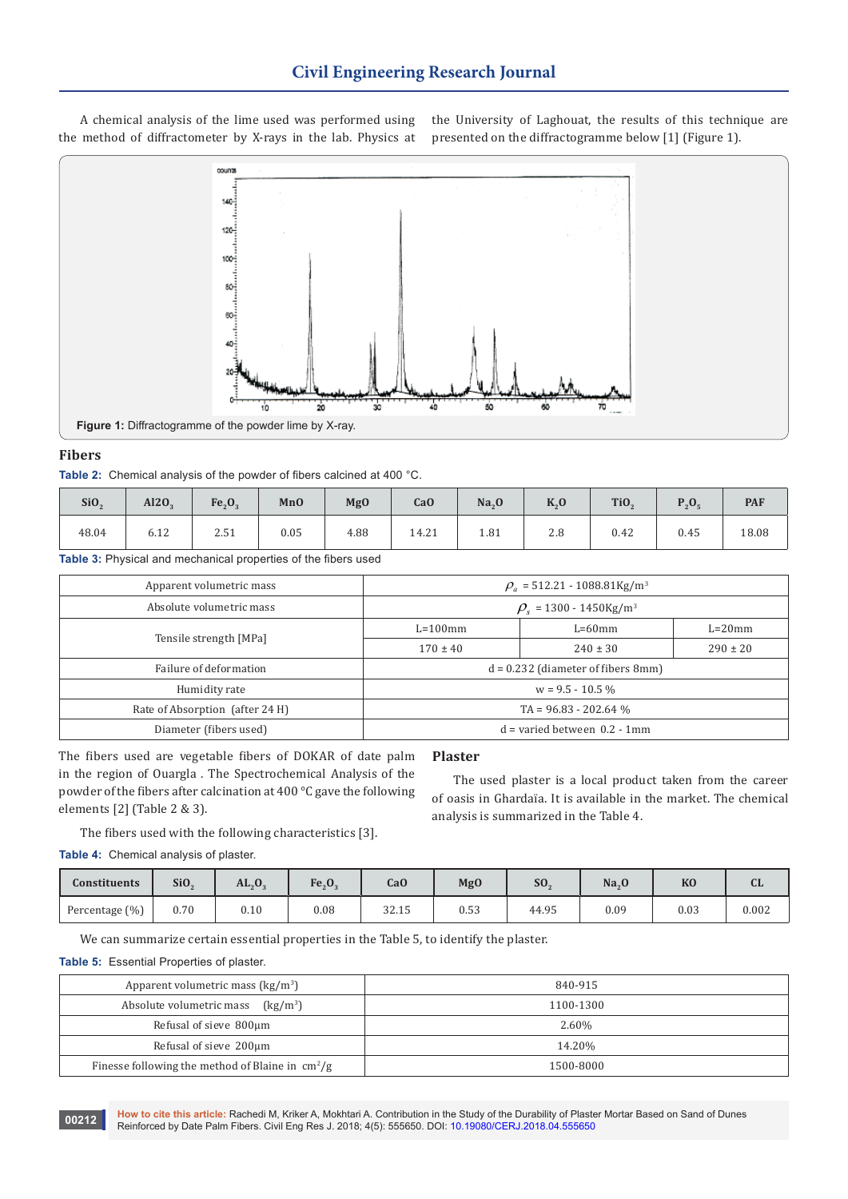A chemical analysis of the lime used was performed using the method of diffractometer by X-rays in the lab. Physics at the University of Laghouat, the results of this technique are presented on the diffractogramme below [1] (Figure 1).



#### **Fibers**

**Table 2:** Chemical analysis of the powder of fibers calcined at 400 °C.

| Si <sub>0</sub> | Al2O <sub>2</sub> | Fe <sub>3</sub> O <sub>4</sub> | <b>MnO</b> | Mg <sub>0</sub> | Ca <sub>O</sub> | Na <sub>2</sub> O | $K_{0}$ | Ti <sub>O</sub> |      | <b>PAF</b> |
|-----------------|-------------------|--------------------------------|------------|-----------------|-----------------|-------------------|---------|-----------------|------|------------|
| 48.04           | 6.12              | 2.51                           | 0.05       | 4.88            | 14.21           | 1.81              | 2.8     | 0.42            | 0.45 | 18.08      |

**Table 3:** Physical and mechanical properties of the fibers used

| Apparent volumetric mass        | $\rho_a$ = 512.21 - 1088.81Kg/m <sup>3</sup>  |              |              |  |  |
|---------------------------------|-----------------------------------------------|--------------|--------------|--|--|
| Absolute volumetric mass        | $\rho_{\rm s}$ = 1300 - 1450Kg/m <sup>3</sup> |              |              |  |  |
|                                 | $L = 100$ mm                                  | $L=60$ mm    | $L=20$ mm    |  |  |
| Tensile strength [MPa]          | $170 \pm 40$                                  | $240 \pm 30$ | $290 \pm 20$ |  |  |
| Failure of deformation          | $d = 0.232$ (diameter of fibers 8mm)          |              |              |  |  |
| Humidity rate                   | $w = 9.5 - 10.5\%$                            |              |              |  |  |
| Rate of Absorption (after 24 H) | $TA = 96.83 - 202.64$ %                       |              |              |  |  |
| Diameter (fibers used)          | $d =$ varied between $0.2 - 1$ mm             |              |              |  |  |

The fibers used are vegetable fibers of DOKAR of date palm in the region of Ouargla . The Spectrochemical Analysis of the powder of the fibers after calcination at 400 °C gave the following elements [2] (Table 2 & 3).

#### **Plaster**

The used plaster is a local product taken from the career of oasis in Ghardaïa. It is available in the market. The chemical analysis is summarized in the Table 4.

The fibers used with the following characteristics [3].

**Table 4:** Chemical analysis of plaster.

| Constituents   | Si <sub>O</sub> | AL, 0,                     | $Fe_{3}O_{3}$ | CaO            | Mg <sub>0</sub> | S <sub>O</sub> | Na <sub>2</sub> | K <sub>0</sub> | u     |
|----------------|-----------------|----------------------------|---------------|----------------|-----------------|----------------|-----------------|----------------|-------|
| Percentage (%) | 0.70            | $_{0.10}$<br>$\sim$ $\sim$ | $_{0.08}$     | 22.15<br>34.IJ | 0.53            | 44.95          | 0.09            | 0.03           | 0.002 |

We can summarize certain essential properties in the Table 5, to identify the plaster.

#### **Table 5:** Essential Properties of plaster.

| Apparent volumetric mass $\frac{\text{kg}}{m^3}$                 | 840-915   |
|------------------------------------------------------------------|-----------|
| Absolute volumetric mass<br>$(kg/m^3)$                           | 1100-1300 |
| Refusal of sieve 800µm                                           | 2.60%     |
| Refusal of sieve 200µm                                           | 14.20%    |
| Finesse following the method of Blaine in $\text{cm}^2/\text{g}$ | 1500-8000 |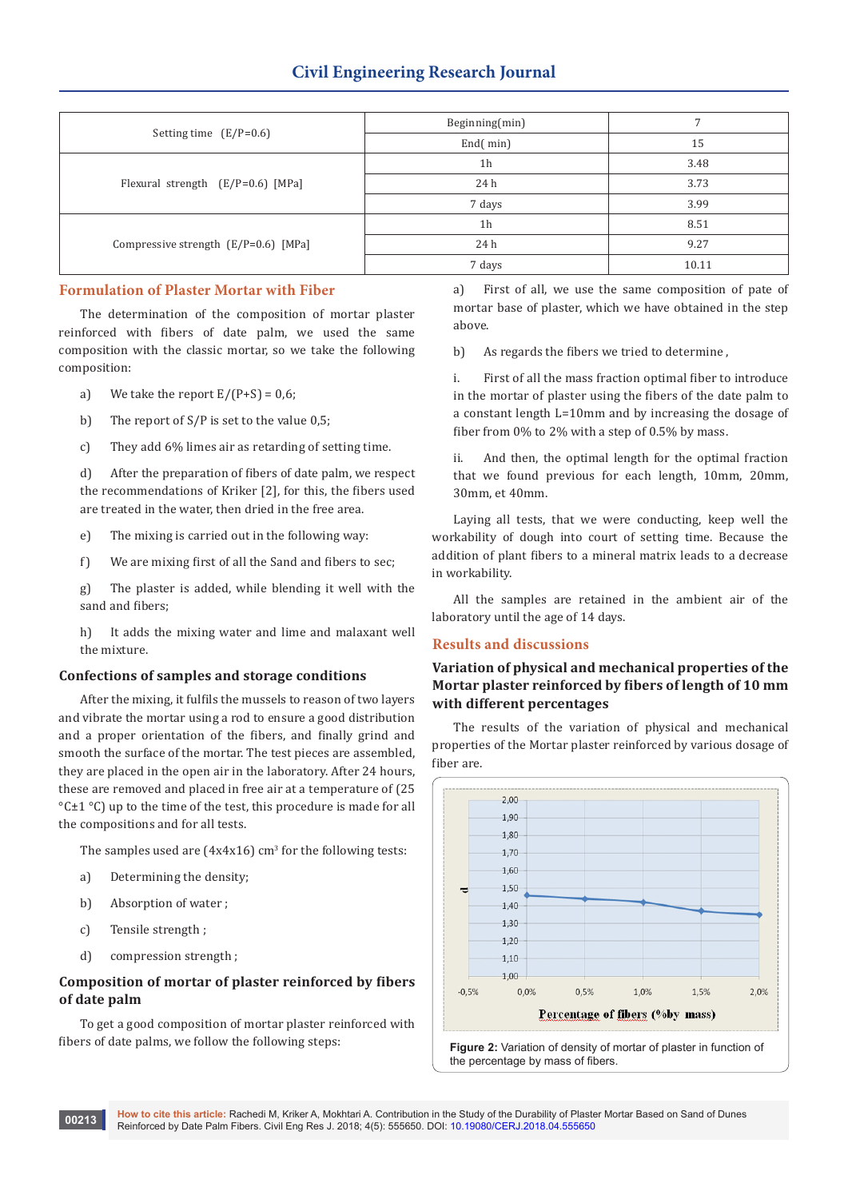|                                        | Beginning(min) |       |
|----------------------------------------|----------------|-------|
| Setting time $(E/P=0.6)$               | End(min)       | 15    |
|                                        | 1h             | 3.48  |
| Flexural strength $(E/P=0.6)$ [MPa]    | 24 h           | 3.73  |
|                                        | 7 days         | 3.99  |
|                                        | 1 <sub>h</sub> | 8.51  |
| Compressive strength $(E/P=0.6)$ [MPa] | 24 h           | 9.27  |
|                                        | 7 days         | 10.11 |

# **Formulation of Plaster Mortar with Fiber**

The determination of the composition of mortar plaster reinforced with fibers of date palm, we used the same composition with the classic mortar, so we take the following composition:

- a) We take the report  $E/(P+S) = 0.6$ ;
- b) The report of S/P is set to the value 0,5;
- c) They add 6% limes air as retarding of setting time.

d) After the preparation of fibers of date palm, we respect the recommendations of Kriker [2], for this, the fibers used are treated in the water, then dried in the free area.

- e) The mixing is carried out in the following way:
- f) We are mixing first of all the Sand and fibers to sec;

g) The plaster is added, while blending it well with the sand and fibers;

h) It adds the mixing water and lime and malaxant well the mixture.

## **Confections of samples and storage conditions**

After the mixing, it fulfils the mussels to reason of two layers and vibrate the mortar using a rod to ensure a good distribution and a proper orientation of the fibers, and finally grind and smooth the surface of the mortar. The test pieces are assembled, they are placed in the open air in the laboratory. After 24 hours, these are removed and placed in free air at a temperature of (25  $°C \pm 1°C$ ) up to the time of the test, this procedure is made for all the compositions and for all tests.

The samples used are  $(4x4x16)$  cm<sup>3</sup> for the following tests:

- a) Determining the density;
- b) Absorption of water ;
- c) Tensile strength ;
- d) compression strength ;

# **Composition of mortar of plaster reinforced by fibers of date palm**

To get a good composition of mortar plaster reinforced with fibers of date palms, we follow the following steps:

a) First of all, we use the same composition of pate of mortar base of plaster, which we have obtained in the step above.

b) As regards the fibers we tried to determine ,

i. First of all the mass fraction optimal fiber to introduce in the mortar of plaster using the fibers of the date palm to a constant length L=10mm and by increasing the dosage of fiber from 0% to 2% with a step of 0.5% by mass.

ii. And then, the optimal length for the optimal fraction that we found previous for each length, 10mm, 20mm, 30mm, et 40mm.

Laying all tests, that we were conducting, keep well the workability of dough into court of setting time. Because the addition of plant fibers to a mineral matrix leads to a decrease in workability.

All the samples are retained in the ambient air of the laboratory until the age of 14 days.

## **Results and discussions**

# **Variation of physical and mechanical properties of the Mortar plaster reinforced by fibers of length of 10 mm with different percentages**

The results of the variation of physical and mechanical properties of the Mortar plaster reinforced by various dosage of fiber are.



the percentage by mass of fibers.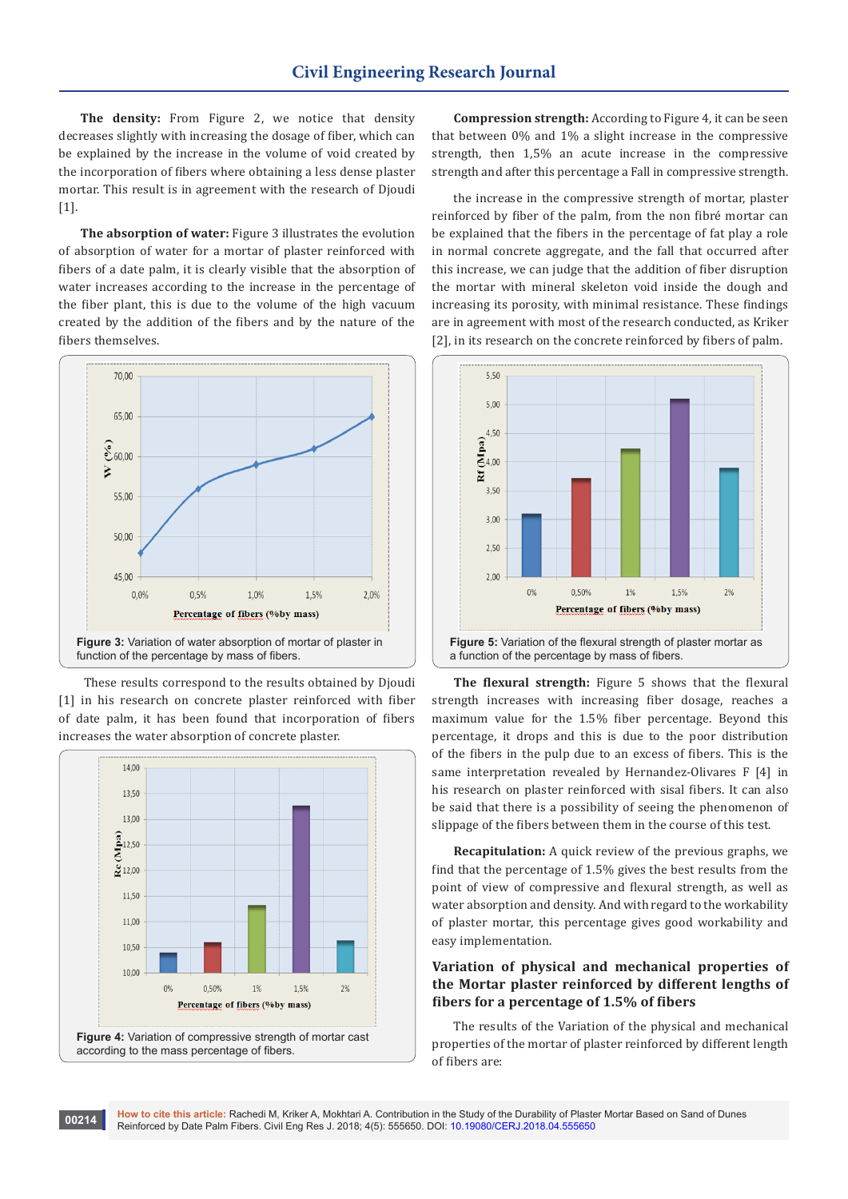**The density:** From Figure 2, we notice that density decreases slightly with increasing the dosage of fiber, which can be explained by the increase in the volume of void created by the incorporation of fibers where obtaining a less dense plaster mortar. This result is in agreement with the research of Djoudi [1].

**The absorption of water:** Figure 3 illustrates the evolution of absorption of water for a mortar of plaster reinforced with fibers of a date palm, it is clearly visible that the absorption of water increases according to the increase in the percentage of the fiber plant, this is due to the volume of the high vacuum created by the addition of the fibers and by the nature of the fibers themselves.



 These results correspond to the results obtained by Djoudi [1] in his research on concrete plaster reinforced with fiber of date palm, it has been found that incorporation of fibers increases the water absorption of concrete plaster.



**Compression strength:** According to Figure 4, it can be seen that between 0% and 1% a slight increase in the compressive strength, then 1,5% an acute increase in the compressive strength and after this percentage a Fall in compressive strength.

the increase in the compressive strength of mortar, plaster reinforced by fiber of the palm, from the non fibré mortar can be explained that the fibers in the percentage of fat play a role in normal concrete aggregate, and the fall that occurred after this increase, we can judge that the addition of fiber disruption the mortar with mineral skeleton void inside the dough and increasing its porosity, with minimal resistance. These findings are in agreement with most of the research conducted, as Kriker [2], in its research on the concrete reinforced by fibers of palm.



**The flexural strength:** Figure 5 shows that the flexural strength increases with increasing fiber dosage, reaches a maximum value for the 1.5% fiber percentage. Beyond this percentage, it drops and this is due to the poor distribution of the fibers in the pulp due to an excess of fibers. This is the same interpretation revealed by Hernandez-Olivares F [4] in his research on plaster reinforced with sisal fibers. It can also be said that there is a possibility of seeing the phenomenon of slippage of the fibers between them in the course of this test.

**Recapitulation:** A quick review of the previous graphs, we find that the percentage of 1.5% gives the best results from the point of view of compressive and flexural strength, as well as water absorption and density. And with regard to the workability of plaster mortar, this percentage gives good workability and easy implementation.

# **Variation of physical and mechanical properties of the Mortar plaster reinforced by different lengths of fibers for a percentage of 1.5% of fibers**

The results of the Variation of the physical and mechanical properties of the mortar of plaster reinforced by different length of fibers are: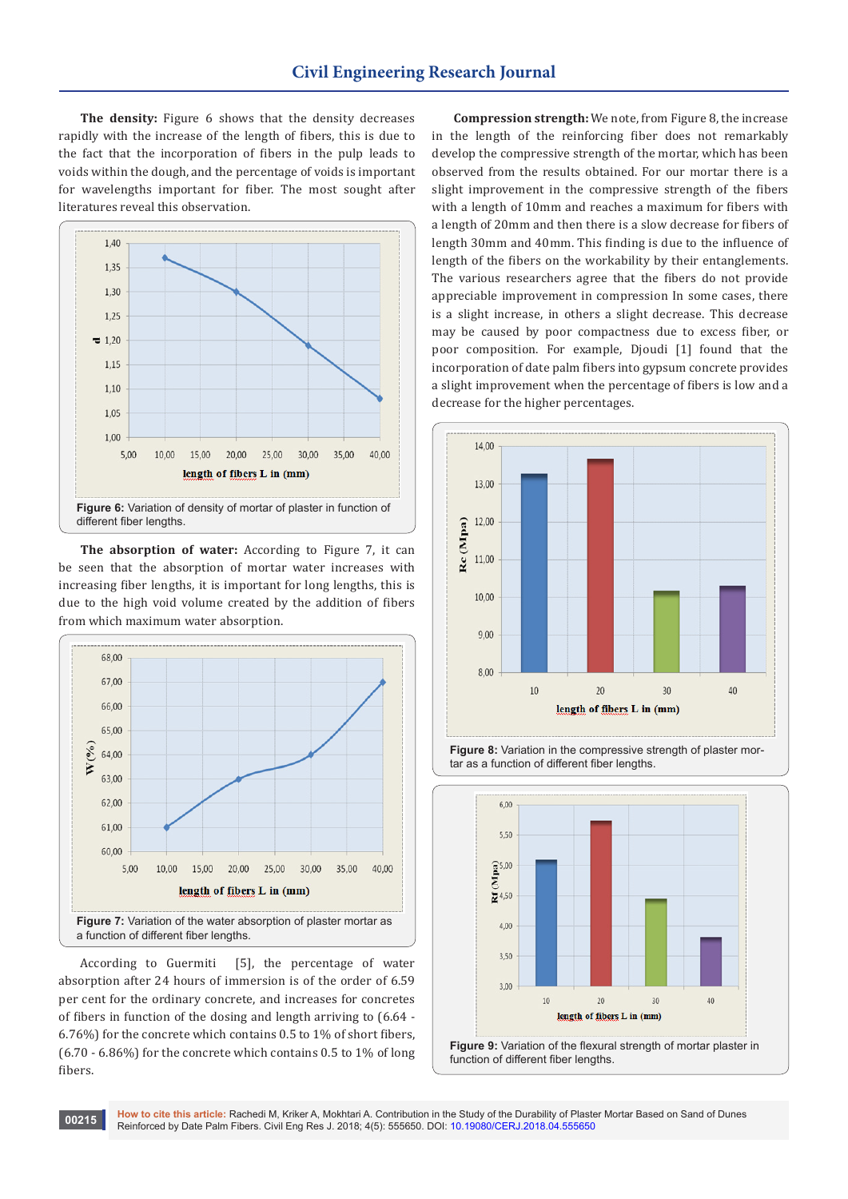**The density:** Figure 6 shows that the density decreases rapidly with the increase of the length of fibers, this is due to the fact that the incorporation of fibers in the pulp leads to voids within the dough, and the percentage of voids is important for wavelengths important for fiber. The most sought after literatures reveal this observation.



**The absorption of water:** According to Figure 7, it can be seen that the absorption of mortar water increases with increasing fiber lengths, it is important for long lengths, this is due to the high void volume created by the addition of fibers from which maximum water absorption.



According to Guermiti [5], the percentage of water absorption after 24 hours of immersion is of the order of 6.59 per cent for the ordinary concrete, and increases for concretes of fibers in function of the dosing and length arriving to (6.64 - 6.76%) for the concrete which contains 0.5 to 1% of short fibers,  $(6.70 - 6.86\%)$  for the concrete which contains 0.5 to 1% of long fibers.

**Compression strength:** We note, from Figure 8, the increase in the length of the reinforcing fiber does not remarkably develop the compressive strength of the mortar, which has been observed from the results obtained. For our mortar there is a slight improvement in the compressive strength of the fibers with a length of 10mm and reaches a maximum for fibers with a length of 20mm and then there is a slow decrease for fibers of length 30mm and 40mm. This finding is due to the influence of length of the fibers on the workability by their entanglements. The various researchers agree that the fibers do not provide appreciable improvement in compression In some cases, there is a slight increase, in others a slight decrease. This decrease may be caused by poor compactness due to excess fiber, or poor composition. For example, Djoudi [1] found that the incorporation of date palm fibers into gypsum concrete provides a slight improvement when the percentage of fibers is low and a decrease for the higher percentages.



**Figure 8:** Variation in the compressive strength of plaster mortar as a function of different fiber lengths.





**How to cite this article:** Rachedi M, Kriker A, Mokhtari A. Contribution in the Study of the Durability of Plaster Mortar Based on Sand of Dunes Reinforced by Date Palm Fibers. Civil Eng Res J. 2018; 4(5): 555650. DOI: [10.19080/CERJ.2018.04.555650](http://dx.doi.org/10.19080/CERJ.2018.04.555650) **DOI: 10.19080/CERJ.2018.04.555650 DOI:** 10.19080/CERJ.2018.04.555650